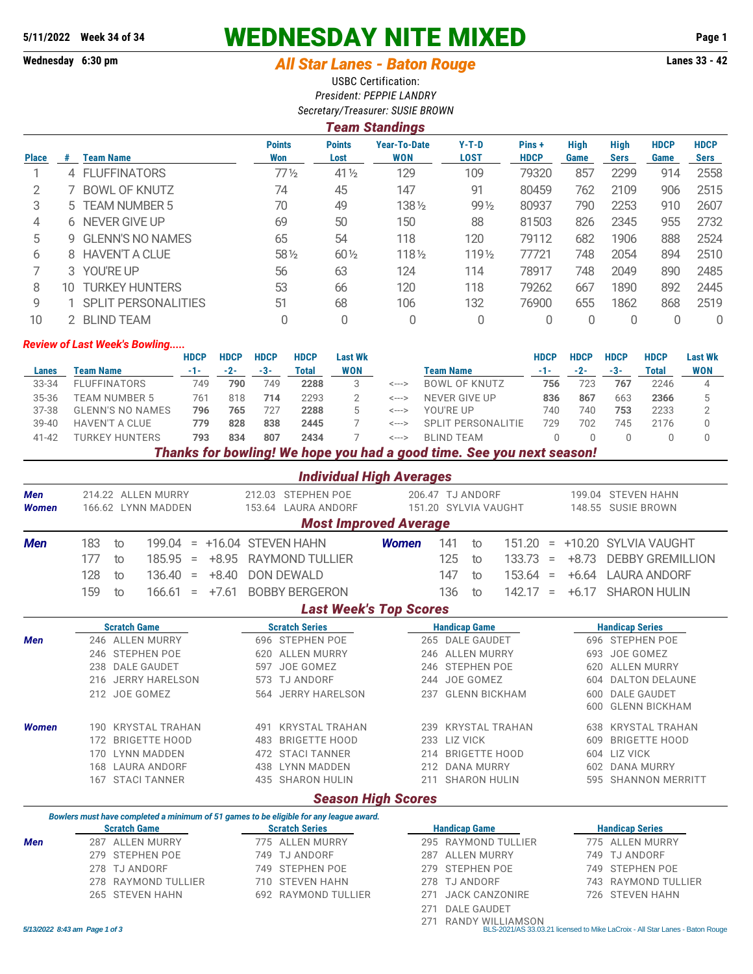## **5/11/2022 Week 34 of 34 WEDNESDAY NITE MIXED Page 1**

## **Wednesday 6:30 pm** *All Star Lanes - Baton Rouge* **Lanes 33 - 42**

USBC Certification: *President: PEPPIE LANDRY Secretary/Treasurer: SUSIE BROWN*

|              | <b>Team Standings</b> |                            |                      |                       |                                   |                        |                      |                     |                     |                     |                            |  |  |  |
|--------------|-----------------------|----------------------------|----------------------|-----------------------|-----------------------------------|------------------------|----------------------|---------------------|---------------------|---------------------|----------------------------|--|--|--|
| <b>Place</b> | #                     | <b>Team Name</b>           | <b>Points</b><br>Won | <b>Points</b><br>Lost | <b>Year-To-Date</b><br><b>WON</b> | $Y-T-D$<br><b>LOST</b> | Pins+<br><b>HDCP</b> | <b>High</b><br>Game | High<br><b>Sers</b> | <b>HDCP</b><br>Game | <b>HDCP</b><br><b>Sers</b> |  |  |  |
|              | 4                     | <b>FLUFFINATORS</b>        | $77\%$               | $41\frac{1}{2}$       | 129                               | 109                    | 79320                | 857                 | 2299                | 914                 | 2558                       |  |  |  |
| 2            |                       | <b>BOWL OF KNUTZ</b>       | 74                   | 45                    | 147                               | 91                     | 80459                | 762                 | 2109                | 906                 | 2515                       |  |  |  |
| 3            |                       | 5 TEAM NUMBER 5            | 70                   | 49                    | 1381/2                            | $99\frac{1}{2}$        | 80937                | 790                 | 2253                | 910                 | 2607                       |  |  |  |
| 4            |                       | 6 NEVER GIVE UP            | 69                   | 50                    | 150                               | 88                     | 81503                | 826                 | 2345                | 955                 | 2732                       |  |  |  |
| 5            | 9                     | <b>GLENN'S NO NAMES</b>    | 65                   | 54                    | 118                               | 120                    | 79112                | 682                 | 1906                | 888                 | 2524                       |  |  |  |
| 6            |                       | 8 HAVEN'T A CLUE           | 58 1/2               | $60\frac{1}{2}$       | $118\frac{1}{2}$                  | $119\frac{1}{2}$       | 77721                | 748                 | 2054                | 894                 | 2510                       |  |  |  |
|              | 3                     | YOU'RE UP                  | 56                   | 63                    | 124                               | 114                    | 78917                | 748                 | 2049                | 890                 | 2485                       |  |  |  |
| 8            | 10                    | <b>TURKEY HUNTERS</b>      | 53                   | 66                    | 120                               | 118                    | 79262                | 667                 | 1890                | 892                 | 2445                       |  |  |  |
| 9            |                       | <b>SPLIT PERSONALITIES</b> | 51                   | 68                    | 106                               | 132                    | 76900                | 655                 | 1862                | 868                 | 2519                       |  |  |  |
| 10           |                       | <b>BLIND TEAM</b>          |                      | 0                     | 0                                 |                        | 0                    | 0                   |                     |                     | 0                          |  |  |  |

## *Review of Last Week's Bowling.....*

|           |                              | <b>HDCP</b> | <b>HDCP</b> | HDCP | <b>HDCP</b> | Last Wk    |       |                      | HDCP | <b>HDCP</b> | <b>HDCP</b> | <b>HDCP</b>  | <b>Last Wk</b> |
|-----------|------------------------------|-------------|-------------|------|-------------|------------|-------|----------------------|------|-------------|-------------|--------------|----------------|
| Lanes     | Team Name                    | -1-         | $-2-$       | -3-  | Total       | <b>WON</b> |       | Team Name            |      | -2-         | $-3-$       | <b>Fotal</b> | WON            |
| 33-34     | <b>FLUFFINATORS</b>          | 749         | 790         | 749  | 2288        |            | <---> | <b>BOWL OF KNUTZ</b> | 756  | 723         | 767         | 2246         |                |
| 35-36     | <b>TEAM NUMBER 5</b>         | 761         | 818         | 714  | 2293        |            | <---> | NEVER GIVE UP        | 836  | 867         | 663         | 2366         |                |
| 37-38     | <b>GLENN'S NO NAMES</b>      | 796         | 765         | 727  | 2288        |            | <---> | YOU'RE UP            | 740  | 740         | 753         | 2233         |                |
| $39 - 40$ | <b>HAVEN'T A CLUE</b>        | 779         | 828         | 838  | 2445        |            | <---> | SPLIT PERSONALITIE   | 729  | 702         | 745         | 2176         |                |
| $41 - 42$ | <b><i>FURKEY HUNTERS</i></b> | 793         | 834         | 807  | 2434        |            | <---> | BI IND TFAM          |      |             |             |              |                |
|           |                              |             |             |      |             |            |       |                      |      |             |             |              |                |

*Thanks for bowling! We hope you had a good time. See you next season!*

|                            |                                                                                                                                                                                                                                                                    | <b>Individual High Averages</b>                                                                                                                                                                                                                                                                   |                                                                                                                                                                                                                                                    |                                                                                                                                                                                                                                                                                            |  |  |  |  |  |  |  |  |  |  |
|----------------------------|--------------------------------------------------------------------------------------------------------------------------------------------------------------------------------------------------------------------------------------------------------------------|---------------------------------------------------------------------------------------------------------------------------------------------------------------------------------------------------------------------------------------------------------------------------------------------------|----------------------------------------------------------------------------------------------------------------------------------------------------------------------------------------------------------------------------------------------------|--------------------------------------------------------------------------------------------------------------------------------------------------------------------------------------------------------------------------------------------------------------------------------------------|--|--|--|--|--|--|--|--|--|--|
| <b>Men</b><br><b>Women</b> | 214.22 ALLEN MURRY<br>166.62 LYNN MADDEN                                                                                                                                                                                                                           | 212.03 STEPHEN POE<br>153.64 LAURA ANDORF                                                                                                                                                                                                                                                         | 206.47 TJ ANDORF<br>151.20 SYLVIA VAUGHT                                                                                                                                                                                                           | 199.04 STEVEN HAHN<br>148.55 SUSIE BROWN                                                                                                                                                                                                                                                   |  |  |  |  |  |  |  |  |  |  |
|                            |                                                                                                                                                                                                                                                                    | <b>Most Improved Average</b>                                                                                                                                                                                                                                                                      |                                                                                                                                                                                                                                                    |                                                                                                                                                                                                                                                                                            |  |  |  |  |  |  |  |  |  |  |
| <b>Men</b>                 | 183<br>199.04<br>to<br>$=$<br>177<br>185.95<br>$+8.95$<br>to<br>$\equiv$<br>128<br>136.40<br>$+8.40$<br>to<br>$\equiv$<br>159<br>166.61<br>$+7.61$<br>to<br>$=$                                                                                                    | +16.04 STEVEN HAHN<br><b>RAYMOND TULLIER</b><br><b>DON DEWALD</b><br><b>BOBBY BERGERON</b>                                                                                                                                                                                                        | 141<br><b>Women</b><br>151.20<br>to<br>125<br>133.73<br>to<br>147<br>153.64<br>to<br>136<br>142.17<br>to                                                                                                                                           | +10.20 SYLVIA VAUGHT<br>$\quad =$<br><b>DEBBY GREMILLION</b><br>$+8.73$<br>$\equiv$<br><b>LAURA ANDORF</b><br>$+6.64$<br>$\equiv$<br><b>SHARON HULIN</b><br>$+6.17$<br>$=$                                                                                                                 |  |  |  |  |  |  |  |  |  |  |
|                            | <b>Last Week's Top Scores</b>                                                                                                                                                                                                                                      |                                                                                                                                                                                                                                                                                                   |                                                                                                                                                                                                                                                    |                                                                                                                                                                                                                                                                                            |  |  |  |  |  |  |  |  |  |  |
| <b>Men</b><br><b>Women</b> | <b>Scratch Game</b><br>246 ALLEN MURRY<br>246 STEPHEN POE<br><b>DALE GAUDET</b><br>238<br>216 JERRY HARELSON<br>212 JOE GOMEZ<br><b>KRYSTAL TRAHAN</b><br>190.<br>172 BRIGETTE HOOD<br><b>LYNN MADDEN</b><br>170<br><b>LAURA ANDORF</b><br>168<br>167 STACI TANNER | <b>Scratch Series</b><br>696 STEPHEN POE<br><b>ALLEN MURRY</b><br>620<br>JOE GOMEZ<br>597<br>573 TJ ANDORF<br>564 JERRY HARELSON<br><b>KRYSTAL TRAHAN</b><br>491<br><b>BRIGETTE HOOD</b><br>483<br>472 STACI TANNER<br><b>LYNN MADDEN</b><br>438<br>435 SHARON HULIN<br><b>Season High Scores</b> | <b>Handicap Game</b><br>265 DALE GAUDET<br><b>ALLEN MURRY</b><br>246<br>246 STEPHEN POE<br>244 JOE GOMEZ<br><b>GLENN BICKHAM</b><br>237<br>239 KRYSTAL TRAHAN<br>233 LIZ VICK<br>214 BRIGETTE HOOD<br>212 DANA MURRY<br><b>SHARON HULIN</b><br>211 | <b>Handicap Series</b><br>696 STEPHEN POE<br>JOE GOMEZ<br>693<br><b>ALLEN MURRY</b><br>620<br>604 DALTON DELAUNE<br>600 DALE GAUDET<br><b>GLENN BICKHAM</b><br>600<br><b>KRYSTAL TRAHAN</b><br>638<br><b>BRIGETTE HOOD</b><br>609<br>604 LIZ VICK<br>602 DANA MURRY<br>595 SHANNON MERRITT |  |  |  |  |  |  |  |  |  |  |
|                            | Bowlers must have completed a minimum of 51 games to be eligible for any league award.                                                                                                                                                                             |                                                                                                                                                                                                                                                                                                   |                                                                                                                                                                                                                                                    |                                                                                                                                                                                                                                                                                            |  |  |  |  |  |  |  |  |  |  |
|                            | <b>Scratch Game</b>                                                                                                                                                                                                                                                | <b>Scratch Series</b>                                                                                                                                                                                                                                                                             | <b>Handicap Game</b>                                                                                                                                                                                                                               | <b>Handicap Series</b>                                                                                                                                                                                                                                                                     |  |  |  |  |  |  |  |  |  |  |
| <b>Men</b>                 | 287 ALLEN MURRY<br><b>STEPHEN POE</b><br>279<br><b>TJ ANDORF</b><br>278<br><b>RAYMOND TULLIER</b><br>278                                                                                                                                                           | 775 ALLEN MURRY<br>749 TJ ANDORF<br><b>STEPHEN POE</b><br>749<br>710 STEVEN HAHN                                                                                                                                                                                                                  | 295 RAYMOND TULLIER<br><b>ALLEN MURRY</b><br>287<br><b>STEPHEN POE</b><br>279<br>278 TJ ANDORF                                                                                                                                                     | 775 ALLEN MURRY<br><b>TJ ANDORF</b><br>749<br><b>STEPHEN POE</b><br>749<br>743 RAYMOND TULLIER                                                                                                                                                                                             |  |  |  |  |  |  |  |  |  |  |
|                            | 265 STEVEN HAHN                                                                                                                                                                                                                                                    | 692<br>RAYMOND TULLIER                                                                                                                                                                                                                                                                            | 271<br><b>JACK CANZONIRE</b>                                                                                                                                                                                                                       | 726 STEVEN HAHN                                                                                                                                                                                                                                                                            |  |  |  |  |  |  |  |  |  |  |

271 RANDY WILLIAMSON *5/13/2022 8:43 am Page 1 of 3* BLS-2021/AS 33.03.21 licensed to Mike LaCroix - All Star Lanes - Baton Rouge

271 DALE GAUDET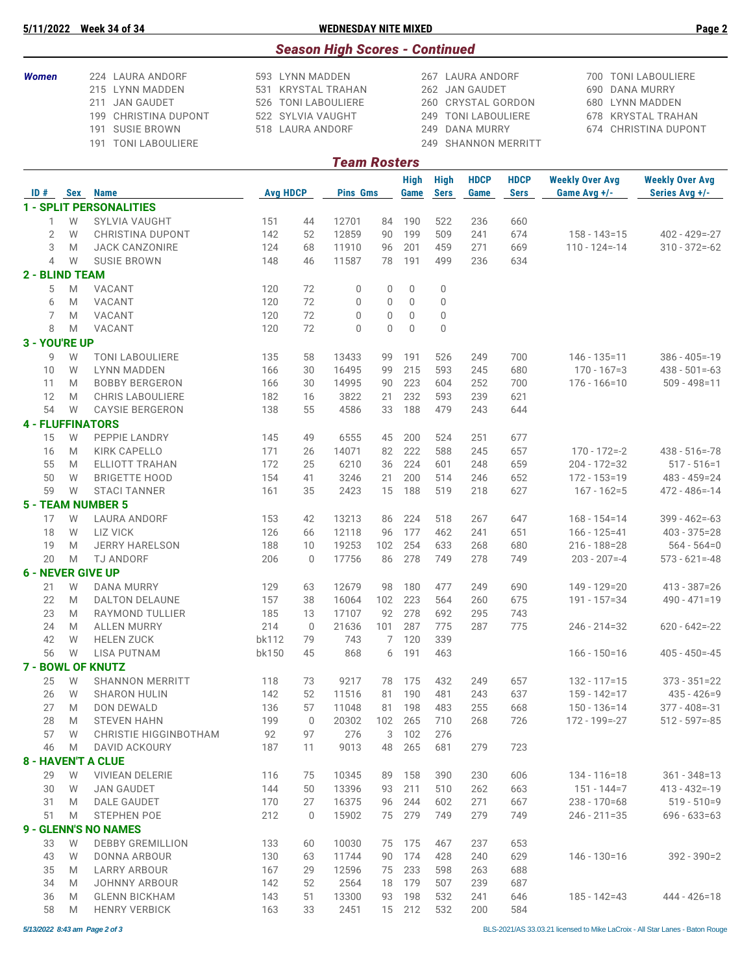| 5/11/2022 | <b>Week 34 of 34</b> | <b>WEDNESDAY NITE MIXED</b> | $P$ age |
|-----------|----------------------|-----------------------------|---------|

|                                                                                                                                                   |        |                                             |                                                                                                                              |              | <b>Season High Scores - Continued</b> |                |                            |                            |                                                                                                     |                            |                                                                                                                     |                                          |  |
|---------------------------------------------------------------------------------------------------------------------------------------------------|--------|---------------------------------------------|------------------------------------------------------------------------------------------------------------------------------|--------------|---------------------------------------|----------------|----------------------------|----------------------------|-----------------------------------------------------------------------------------------------------|----------------------------|---------------------------------------------------------------------------------------------------------------------|------------------------------------------|--|
| <b>Women</b><br>224 LAURA ANDORF<br>215 LYNN MADDEN<br><b>JAN GAUDET</b><br>211<br>199 CHRISTINA DUPONT<br>191 SUSIE BROWN<br>191 TONI LABOULIERE |        |                                             | 593 LYNN MADDEN<br>531 KRYSTAL TRAHAN<br>526 TONI LABOULIERE<br>522 SYLVIA VAUGHT<br>518 LAURA ANDORF<br><b>Team Rosters</b> |              |                                       |                |                            |                            | 267 LAURA ANDORF<br>262 JAN GAUDET<br><b>CRYSTAL GORDON</b><br><b>TONI LABOULIERE</b><br>DANA MURRY | 249 SHANNON MERRITT        | 700 TONI LABOULIERE<br>690<br>DANA MURRY<br>680 LYNN MADDEN<br><b>KRYSTAL TRAHAN</b><br>678<br>674 CHRISTINA DUPONT |                                          |  |
|                                                                                                                                                   |        |                                             |                                                                                                                              |              |                                       |                |                            |                            |                                                                                                     |                            |                                                                                                                     |                                          |  |
| ID#                                                                                                                                               | Sex    | <b>Name</b>                                 | <b>Avg HDCP</b>                                                                                                              |              | <b>Pins Gms</b>                       |                | <b>High</b><br><b>Game</b> | <b>High</b><br><b>Sers</b> | <b>HDCP</b><br>Game                                                                                 | <b>HDCP</b><br><b>Sers</b> | <b>Weekly Over Avg</b><br>Game Avg +/-                                                                              | <b>Weekly Over Avg</b><br>Series Avg +/- |  |
|                                                                                                                                                   |        | <b>1 - SPLIT PERSONALITIES</b>              |                                                                                                                              |              |                                       |                |                            |                            |                                                                                                     |                            |                                                                                                                     |                                          |  |
| 1                                                                                                                                                 | W      | <b>SYLVIA VAUGHT</b>                        | 151                                                                                                                          | 44           | 12701                                 | 84             | 190                        | 522                        | 236                                                                                                 | 660                        |                                                                                                                     |                                          |  |
| $\overline{2}$                                                                                                                                    | W      | <b>CHRISTINA DUPONT</b>                     | 142                                                                                                                          | 52           | 12859                                 | 90             | 199                        | 509                        | 241                                                                                                 | 674                        | $158 - 143 = 15$                                                                                                    | $402 - 429 = -27$                        |  |
| 3                                                                                                                                                 | M      | <b>JACK CANZONIRE</b>                       | 124                                                                                                                          | 68           | 11910                                 | 96             | 201                        | 459                        | 271                                                                                                 | 669                        | $110 - 124 = -14$                                                                                                   | $310 - 372 = -62$                        |  |
| 4                                                                                                                                                 | W      | <b>SUSIE BROWN</b>                          | 148                                                                                                                          | 46           | 11587                                 | 78             | 191                        | 499                        | 236                                                                                                 | 634                        |                                                                                                                     |                                          |  |
| <b>2 - BLIND TEAM</b><br>5                                                                                                                        | M      | VACANT                                      | 120                                                                                                                          | 72           | 0                                     | $\mathbf 0$    | $\mathbf 0$                | $\mathbf 0$                |                                                                                                     |                            |                                                                                                                     |                                          |  |
| 6                                                                                                                                                 | M      | VACANT                                      | 120                                                                                                                          | 72           | 0                                     | $\Omega$       | $\mathbf{0}$               | 0                          |                                                                                                     |                            |                                                                                                                     |                                          |  |
| 7                                                                                                                                                 | M      | <b>VACANT</b>                               | 120                                                                                                                          | 72           | $\mathbf{0}$                          | $\mathbf{0}$   | $\mathbf{0}$               | $\mathbf 0$                |                                                                                                     |                            |                                                                                                                     |                                          |  |
| 8                                                                                                                                                 | M      | VACANT                                      | 120                                                                                                                          | 72           | 0                                     | $\overline{0}$ | $\Omega$                   | 0                          |                                                                                                     |                            |                                                                                                                     |                                          |  |
| 3 - YOU'RE UP                                                                                                                                     |        |                                             |                                                                                                                              |              |                                       |                |                            |                            |                                                                                                     |                            |                                                                                                                     |                                          |  |
| 9                                                                                                                                                 | W      | <b>TONI LABOULIERE</b>                      | 135                                                                                                                          | 58           | 13433                                 | 99             | 191                        | 526                        | 249                                                                                                 | 700                        | $146 - 135 = 11$                                                                                                    | $386 - 405 = -19$                        |  |
| 10<br>11                                                                                                                                          | W<br>M | <b>LYNN MADDEN</b><br><b>BOBBY BERGERON</b> | 166<br>166                                                                                                                   | 30<br>30     | 16495<br>14995                        | 99<br>90       | 215<br>223                 | 593<br>604                 | 245<br>252                                                                                          | 680<br>700                 | $170 - 167 = 3$<br>$176 - 166 = 10$                                                                                 | $438 - 501 = -63$<br>$509 - 498 = 11$    |  |
| 12                                                                                                                                                | M      | <b>CHRIS LABOULIERE</b>                     | 182                                                                                                                          | 16           | 3822                                  | 21             | 232                        | 593                        | 239                                                                                                 | 621                        |                                                                                                                     |                                          |  |
| 54                                                                                                                                                | W      | <b>CAYSIE BERGERON</b>                      | 138                                                                                                                          | 55           | 4586                                  | 33             | 188                        | 479                        | 243                                                                                                 | 644                        |                                                                                                                     |                                          |  |
| <b>4 - FLUFFINATORS</b>                                                                                                                           |        |                                             |                                                                                                                              |              |                                       |                |                            |                            |                                                                                                     |                            |                                                                                                                     |                                          |  |
| 15                                                                                                                                                | W      | PEPPIE LANDRY                               | 145                                                                                                                          | 49           | 6555                                  | 45             | 200                        | 524                        | 251                                                                                                 | 677                        |                                                                                                                     |                                          |  |
| 16                                                                                                                                                | M      | <b>KIRK CAPELLO</b>                         | 171                                                                                                                          | 26           | 14071                                 | 82             | 222                        | 588                        | 245                                                                                                 | 657                        | $170 - 172 = -2$                                                                                                    | $438 - 516 = -78$                        |  |
| 55<br>50                                                                                                                                          | M<br>W | ELLIOTT TRAHAN<br><b>BRIGETTE HOOD</b>      | 172<br>154                                                                                                                   | 25<br>41     | 6210<br>3246                          | 36<br>21       | 224<br>200                 | 601<br>514                 | 248<br>246                                                                                          | 659<br>652                 | $204 - 172 = 32$<br>$172 - 153 = 19$                                                                                | $517 - 516 = 1$<br>$483 - 459 = 24$      |  |
| 59                                                                                                                                                | W      | <b>STACI TANNER</b>                         | 161                                                                                                                          | 35           | 2423                                  | 15             | 188                        | 519                        | 218                                                                                                 | 627                        | $167 - 162 = 5$                                                                                                     | $472 - 486 = -14$                        |  |
|                                                                                                                                                   |        | <b>5 - TEAM NUMBER 5</b>                    |                                                                                                                              |              |                                       |                |                            |                            |                                                                                                     |                            |                                                                                                                     |                                          |  |
| 17                                                                                                                                                | W      | <b>LAURA ANDORF</b>                         | 153                                                                                                                          | 42           | 13213                                 | 86             | 224                        | 518                        | 267                                                                                                 | 647                        | $168 - 154 = 14$                                                                                                    | $399 - 462 = -63$                        |  |
| 18                                                                                                                                                | W      | <b>LIZ VICK</b>                             | 126                                                                                                                          | 66           | 12118                                 | 96             | 177                        | 462                        | 241                                                                                                 | 651                        | $166 - 125 = 41$                                                                                                    | $403 - 375 = 28$                         |  |
| 19                                                                                                                                                | M      | <b>JERRY HARELSON</b>                       | 188                                                                                                                          | 10           | 19253                                 | 102            | 254                        | 633                        | 268                                                                                                 | 680                        | $216 - 188 = 28$                                                                                                    | $564 - 564=0$                            |  |
| 20<br><b>6 - NEVER GIVE UP</b>                                                                                                                    | M      | <b>TJ ANDORF</b>                            | 206                                                                                                                          | $\mathbf 0$  | 17756                                 | 86             | 278                        | 749                        | 278                                                                                                 | 749                        | $203 - 207 = -4$                                                                                                    | $573 - 621 = -48$                        |  |
| 21                                                                                                                                                | W      | <b>DANA MURRY</b>                           | 129                                                                                                                          | 63           | 12679                                 | 98             | 180                        | 477                        | 249                                                                                                 | 690                        | $149 - 129 = 20$                                                                                                    | $413 - 387 = 26$                         |  |
| 22                                                                                                                                                | M      | DALTON DELAUNE                              | 157                                                                                                                          | 38           | 16064                                 | 102            | 223                        | 564                        | 260                                                                                                 | 675                        | 191 - 157=34                                                                                                        | 490 - 471=19                             |  |
| 23                                                                                                                                                | M      | RAYMOND TULLIER                             | 185                                                                                                                          | 13           | 17107                                 | 92             | 278                        | 692                        | 295                                                                                                 | 743                        |                                                                                                                     |                                          |  |
| 24                                                                                                                                                | M      | <b>ALLEN MURRY</b>                          | 214                                                                                                                          | $\mathbf{0}$ | 21636                                 | 101            | 287                        | 775                        | 287                                                                                                 | 775                        | $246 - 214 = 32$                                                                                                    | $620 - 642 = -22$                        |  |
| 42                                                                                                                                                | W      | <b>HELEN ZUCK</b>                           | bk112                                                                                                                        | 79           | 743                                   | 7              | 120                        | 339                        |                                                                                                     |                            |                                                                                                                     |                                          |  |
| 56                                                                                                                                                | W      | LISA PUTNAM<br><b>7 - BOWL OF KNUTZ</b>     | bk150                                                                                                                        | 45           | 868                                   | 6              | 191                        | 463                        |                                                                                                     |                            | $166 - 150 = 16$                                                                                                    | $405 - 450 = -45$                        |  |
| 25                                                                                                                                                | W      | <b>SHANNON MERRITT</b>                      | 118                                                                                                                          | 73           | 9217                                  | 78             | 175                        | 432                        | 249                                                                                                 | 657                        | $132 - 117 = 15$                                                                                                    | $373 - 351 = 22$                         |  |
| 26                                                                                                                                                | W      | <b>SHARON HULIN</b>                         | 142                                                                                                                          | 52           | 11516                                 | 81             | 190                        | 481                        | 243                                                                                                 | 637                        | 159 - 142=17                                                                                                        | $435 - 426 = 9$                          |  |
| 27                                                                                                                                                | M      | DON DEWALD                                  | 136                                                                                                                          | 57           | 11048                                 | 81             | 198                        | 483                        | 255                                                                                                 | 668                        | $150 - 136 = 14$                                                                                                    | $377 - 408 = -31$                        |  |
| 28                                                                                                                                                | M      | <b>STEVEN HAHN</b>                          | 199                                                                                                                          | $\mathbf 0$  | 20302                                 | 102            | 265                        | 710                        | 268                                                                                                 | 726                        | 172 - 199 = - 27                                                                                                    | $512 - 597 = -85$                        |  |
| 57                                                                                                                                                | W      | <b>CHRISTIE HIGGINBOTHAM</b>                | 92                                                                                                                           | 97           | 276<br>9013                           | 3<br>48        | 102<br>265                 | 276                        |                                                                                                     |                            |                                                                                                                     |                                          |  |
| 46                                                                                                                                                | M      | DAVID ACKOURY<br><b>8 - HAVEN'T A CLUE</b>  | 187                                                                                                                          | 11           |                                       |                |                            | 681                        | 279                                                                                                 | 723                        |                                                                                                                     |                                          |  |
| 29                                                                                                                                                | W      | <b>VIVIEAN DELERIE</b>                      | 116                                                                                                                          | 75           | 10345                                 | 89             | 158                        | 390                        | 230                                                                                                 | 606                        | $134 - 116 = 18$                                                                                                    | $361 - 348 = 13$                         |  |
| 30                                                                                                                                                | W      | <b>JAN GAUDET</b>                           | 144                                                                                                                          | 50           | 13396                                 | 93             | 211                        | 510                        | 262                                                                                                 | 663                        | $151 - 144 = 7$                                                                                                     | $413 - 432 = -19$                        |  |
| 31                                                                                                                                                | M      | <b>DALE GAUDET</b>                          | 170                                                                                                                          | 27           | 16375                                 | 96             | 244                        | 602                        | 271                                                                                                 | 667                        | $238 - 170 = 68$                                                                                                    | $519 - 510=9$                            |  |
| 51                                                                                                                                                | M      | <b>STEPHEN POE</b>                          | 212                                                                                                                          | $\mathbf 0$  | 15902                                 | 75             | 279                        | 749                        | 279                                                                                                 | 749                        | $246 - 211 = 35$                                                                                                    | $696 - 633 = 63$                         |  |
|                                                                                                                                                   |        | <b>9 - GLENN'S NO NAMES</b>                 |                                                                                                                              |              |                                       |                |                            |                            |                                                                                                     |                            |                                                                                                                     |                                          |  |
| 33<br>43                                                                                                                                          | W<br>W | <b>DEBBY GREMILLION</b><br>DONNA ARBOUR     | 133<br>130                                                                                                                   | 60<br>63     | 10030<br>11744                        | 75<br>90       | 175<br>174                 | 467<br>428                 | 237<br>240                                                                                          | 653<br>629                 | $146 - 130 = 16$                                                                                                    | $392 - 390 = 2$                          |  |
| 35                                                                                                                                                | M      | <b>LARRY ARBOUR</b>                         | 167                                                                                                                          | 29           | 12596                                 | 75             | 233                        | 598                        | 263                                                                                                 | 688                        |                                                                                                                     |                                          |  |
| 34                                                                                                                                                | M      | JOHNNY ARBOUR                               | 142                                                                                                                          | 52           | 2564                                  | 18             | 179                        | 507                        | 239                                                                                                 | 687                        |                                                                                                                     |                                          |  |
| 36                                                                                                                                                | M      | <b>GLENN BICKHAM</b>                        | 143                                                                                                                          | 51           | 13300                                 | 93             | 198                        | 532                        | 241                                                                                                 | 646                        | $185 - 142 = 43$                                                                                                    | 444 - 426=18                             |  |
| 58                                                                                                                                                | M      | <b>HENRY VERBICK</b>                        | 163                                                                                                                          | 33           | 2451                                  |                | 15 212                     | 532                        | 200                                                                                                 | 584                        |                                                                                                                     |                                          |  |